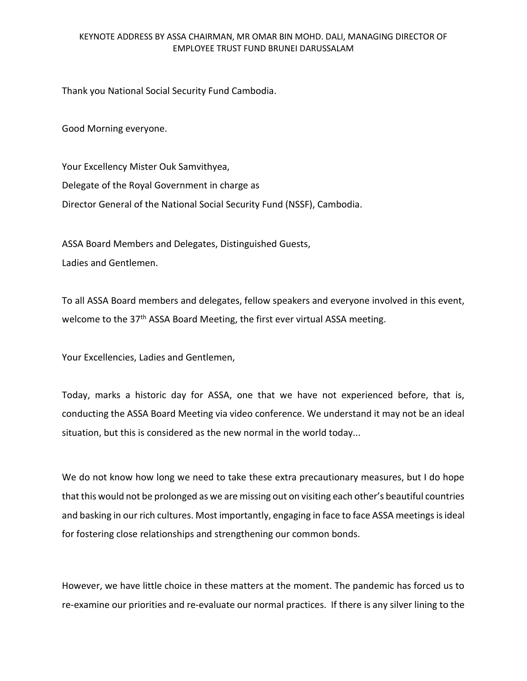## KEYNOTE ADDRESS BY ASSA CHAIRMAN, MR OMAR BIN MOHD. DALI, MANAGING DIRECTOR OF EMPLOYEE TRUST FUND BRUNEI DARUSSALAM

Thank you National Social Security Fund Cambodia.

Good Morning everyone.

Your Excellency Mister Ouk Samvithyea, Delegate of the Royal Government in charge as Director General of the National Social Security Fund (NSSF), Cambodia.

ASSA Board Members and Delegates, Distinguished Guests, Ladies and Gentlemen.

To all ASSA Board members and delegates, fellow speakers and everyone involved in this event, welcome to the 37<sup>th</sup> ASSA Board Meeting, the first ever virtual ASSA meeting.

Your Excellencies, Ladies and Gentlemen,

Today, marks a historic day for ASSA, one that we have not experienced before, that is, conducting the ASSA Board Meeting via video conference. We understand it may not be an ideal situation, but this is considered as the new normal in the world today...

We do not know how long we need to take these extra precautionary measures, but I do hope that this would not be prolonged as we are missing out on visiting each other's beautiful countries and basking in our rich cultures. Most importantly, engaging in face to face ASSA meetings is ideal for fostering close relationships and strengthening our common bonds.

However, we have little choice in these matters at the moment. The pandemic has forced us to re-examine our priorities and re-evaluate our normal practices. If there is any silver lining to the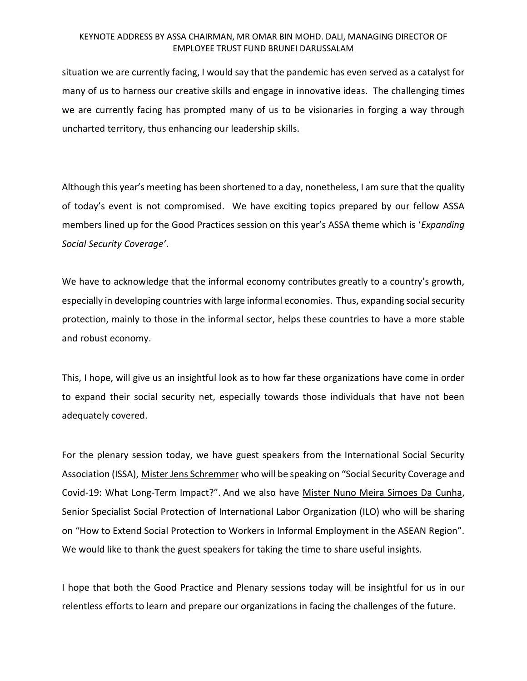## KEYNOTE ADDRESS BY ASSA CHAIRMAN, MR OMAR BIN MOHD. DALI, MANAGING DIRECTOR OF EMPLOYEE TRUST FUND BRUNEI DARUSSALAM

situation we are currently facing, I would say that the pandemic has even served as a catalyst for many of us to harness our creative skills and engage in innovative ideas. The challenging times we are currently facing has prompted many of us to be visionaries in forging a way through uncharted territory, thus enhancing our leadership skills.

Although this year's meeting has been shortened to a day, nonetheless, I am sure that the quality of today's event is not compromised. We have exciting topics prepared by our fellow ASSA members lined up for the Good Practices session on this year's ASSA theme which is '*Expanding Social Security Coverage'*.

We have to acknowledge that the informal economy contributes greatly to a country's growth, especially in developing countries with large informal economies. Thus, expanding social security protection, mainly to those in the informal sector, helps these countries to have a more stable and robust economy.

This, I hope, will give us an insightful look as to how far these organizations have come in order to expand their social security net, especially towards those individuals that have not been adequately covered.

For the plenary session today, we have guest speakers from the International Social Security Association (ISSA), Mister Jens Schremmer who will be speaking on "Social Security Coverage and Covid-19: What Long-Term Impact?". And we also have Mister Nuno Meira Simoes Da Cunha, Senior Specialist Social Protection of International Labor Organization (ILO) who will be sharing on "How to Extend Social Protection to Workers in Informal Employment in the ASEAN Region". We would like to thank the guest speakers for taking the time to share useful insights.

I hope that both the Good Practice and Plenary sessions today will be insightful for us in our relentless efforts to learn and prepare our organizations in facing the challenges of the future.